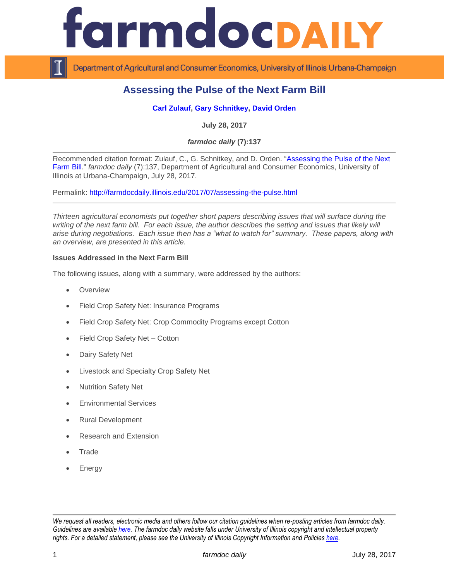

Department of Agricultural and Consumer Economics, University of Illinois Urbana-Champaign

## **Assessing the Pulse of the Next Farm Bill**

## **[Carl Zulauf,](http://aede.osu.edu/our-people/carl-zulauf) [Gary Schnitkey,](http://farmdoc.illinois.edu/schnitkey) [David Orden](https://www.ifpri.org/profile/david-orden)**

**July 28, 2017**

*farmdoc daily* **(7):137**

Recommended citation format: Zulauf, C., G. Schnitkey, and D. Orden. ["Assessing the Pulse of the Next](http://farmdocdaily.illinois.edu/2017/07/assessing-the-pulse.html)  [Farm Bill.](http://farmdocdaily.illinois.edu/2017/07/assessing-the-pulse.html)" *farmdoc daily* (7):137, Department of Agricultural and Consumer Economics, University of Illinois at Urbana-Champaign, July 28, 2017.

Permalink: <http://farmdocdaily.illinois.edu/2017/07/assessing-the-pulse.html>

*Thirteen agricultural economists put together short papers describing issues that will surface during the*  writing of the next farm bill. For each issue, the author describes the setting and issues that likely will *arise during negotiations. Each issue then has a "what to watch for" summary. These papers, along with an overview, are presented in this article.*

## **Issues Addressed in the Next Farm Bill**

The following issues, along with a summary, were addressed by the authors:

- **Overview**
- Field Crop Safety Net: Insurance Programs
- Field Crop Safety Net: Crop Commodity Programs except Cotton
- Field Crop Safety Net Cotton
- Dairy Safety Net
- Livestock and Specialty Crop Safety Net
- Nutrition Safety Net
- Environmental Services
- Rural Development
- Research and Extension
- **Trade**
- Energy

*We request all readers, electronic media and others follow our citation guidelines when re-posting articles from farmdoc daily. Guidelines are available [here.](http://farmdocdaily.illinois.edu/citationguide.html) The farmdoc daily website falls under University of Illinois copyright and intellectual property rights. For a detailed statement, please see the University of Illinois Copyright Information and Policies [here.](http://www.cio.illinois.edu/policies/copyright/)*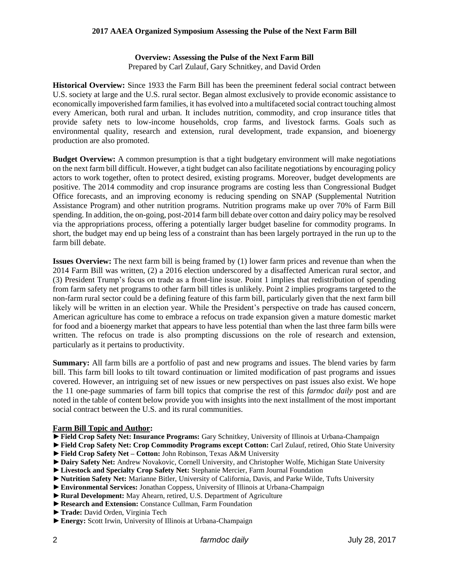#### **Overview: Assessing the Pulse of the Next Farm Bill**

Prepared by Carl Zulauf, Gary Schnitkey, and David Orden

**Historical Overview:** Since 1933 the Farm Bill has been the preeminent federal social contract between U.S. society at large and the U.S. rural sector. Began almost exclusively to provide economic assistance to economically impoverished farm families, it has evolved into a multifaceted social contract touching almost every American, both rural and urban. It includes nutrition, commodity, and crop insurance titles that provide safety nets to low-income households, crop farms, and livestock farms. Goals such as environmental quality, research and extension, rural development, trade expansion, and bioenergy production are also promoted.

**Budget Overview:** A common presumption is that a tight budgetary environment will make negotiations on the next farm bill difficult. However, a tight budget can also facilitate negotiations by encouraging policy actors to work together, often to protect desired, existing programs. Moreover, budget developments are positive. The 2014 commodity and crop insurance programs are costing less than Congressional Budget Office forecasts, and an improving economy is reducing spending on SNAP (Supplemental Nutrition Assistance Program) and other nutrition programs. Nutrition programs make up over 70% of Farm Bill spending. In addition, the on-going, post-2014 farm bill debate over cotton and dairy policy may be resolved via the appropriations process, offering a potentially larger budget baseline for commodity programs. In short, the budget may end up being less of a constraint than has been largely portrayed in the run up to the farm bill debate.

**Issues Overview:** The next farm bill is being framed by (1) lower farm prices and revenue than when the 2014 Farm Bill was written, (2) a 2016 election underscored by a disaffected American rural sector, and (3) President Trump's focus on trade as a front-line issue. Point 1 implies that redistribution of spending from farm safety net programs to other farm bill titles is unlikely. Point 2 implies programs targeted to the non-farm rural sector could be a defining feature of this farm bill, particularly given that the next farm bill likely will be written in an election year. While the President's perspective on trade has caused concern, American agriculture has come to embrace a refocus on trade expansion given a mature domestic market for food and a bioenergy market that appears to have less potential than when the last three farm bills were written. The refocus on trade is also prompting discussions on the role of research and extension, particularly as it pertains to productivity.

**Summary:** All farm bills are a portfolio of past and new programs and issues. The blend varies by farm bill. This farm bill looks to tilt toward continuation or limited modification of past programs and issues covered. However, an intriguing set of new issues or new perspectives on past issues also exist. We hope the 11 one-page summaries of farm bill topics that comprise the rest of this *farmdoc daily* post and are noted in the table of content below provide you with insights into the next installment of the most important social contract between the U.S. and its rural communities.

#### **Farm Bill Topic and Author:**

- ►**Field Crop Safety Net: Insurance Programs:** Gary Schnitkey, University of Illinois at Urbana-Champaign
- ►**Field Crop Safety Net: Crop Commodity Programs except Cotton:** Carl Zulauf, retired, Ohio State University
- ►**Field Crop Safety Net – Cotton:** John Robinson, Texas A&M University
- ►**Dairy Safety Net:** Andrew Novakovic, Cornell University, and Christopher Wolfe, Michigan State University
- ►**Livestock and Specialty Crop Safety Net:** Stephanie Mercier, Farm Journal Foundation
- ►**Nutrition Safety Net:** Marianne Bitler, University of California, Davis, and Parke Wilde, Tufts University
- ►**Environmental Services:** Jonathan Coppess, University of Illinois at Urbana-Champaign
- ►**Rural Development:** May Ahearn, retired, U.S. Department of Agriculture
- ►**Research and Extension:** Constance Cullman, Farm Foundation
- ►**Trade:** David Orden, Virginia Tech
- ►**Energy:** Scott Irwin, University of Illinois at Urbana-Champaign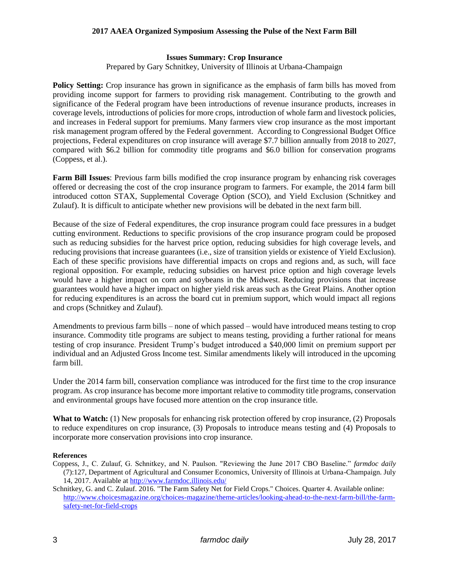#### **Issues Summary: Crop Insurance**

Prepared by Gary Schnitkey, University of Illinois at Urbana-Champaign

**Policy Setting:** Crop insurance has grown in significance as the emphasis of farm bills has moved from providing income support for farmers to providing risk management. Contributing to the growth and significance of the Federal program have been introductions of revenue insurance products, increases in coverage levels, introductions of policies for more crops, introduction of whole farm and livestock policies, and increases in Federal support for premiums. Many farmers view crop insurance as the most important risk management program offered by the Federal government. According to Congressional Budget Office projections, Federal expenditures on crop insurance will average \$7.7 billion annually from 2018 to 2027, compared with \$6.2 billion for commodity title programs and \$6.0 billion for conservation programs (Coppess, et al.).

**Farm Bill Issues**: Previous farm bills modified the crop insurance program by enhancing risk coverages offered or decreasing the cost of the crop insurance program to farmers. For example, the 2014 farm bill introduced cotton STAX, Supplemental Coverage Option (SCO), and Yield Exclusion (Schnitkey and Zulauf). It is difficult to anticipate whether new provisions will be debated in the next farm bill.

Because of the size of Federal expenditures, the crop insurance program could face pressures in a budget cutting environment. Reductions to specific provisions of the crop insurance program could be proposed such as reducing subsidies for the harvest price option, reducing subsidies for high coverage levels, and reducing provisions that increase guarantees (i.e., size of transition yields or existence of Yield Exclusion). Each of these specific provisions have differential impacts on crops and regions and, as such, will face regional opposition. For example, reducing subsidies on harvest price option and high coverage levels would have a higher impact on corn and soybeans in the Midwest. Reducing provisions that increase guarantees would have a higher impact on higher yield risk areas such as the Great Plains. Another option for reducing expenditures is an across the board cut in premium support, which would impact all regions and crops (Schnitkey and Zulauf).

Amendments to previous farm bills – none of which passed – would have introduced means testing to crop insurance. Commodity title programs are subject to means testing, providing a further rational for means testing of crop insurance. President Trump's budget introduced a \$40,000 limit on premium support per individual and an Adjusted Gross Income test. Similar amendments likely will introduced in the upcoming farm bill.

Under the 2014 farm bill, conservation compliance was introduced for the first time to the crop insurance program. As crop insurance has become more important relative to commodity title programs, conservation and environmental groups have focused more attention on the crop insurance title.

**What to Watch:** (1) New proposals for enhancing risk protection offered by crop insurance, (2) Proposals to reduce expenditures on crop insurance, (3) Proposals to introduce means testing and (4) Proposals to incorporate more conservation provisions into crop insurance.

#### **References**

Coppess, J., C. Zulauf, G. Schnitkey, and N. Paulson. "Reviewing the June 2017 CBO Baseline." *farmdoc daily*  (7):127, Department of Agricultural and Consumer Economics, University of Illinois at Urbana-Champaign. July 14, 2017. Available at<http://www.farmdoc.illinois.edu/>

Schnitkey, G. and C. Zulauf. 2016. "The Farm Safety Net for Field Crops." Choices. Quarter 4. Available online: [http://www.choicesmagazine.org/choices-magazine/theme-articles/looking-ahead-to-the-next-farm-bill/the-farm](http://www.choicesmagazine.org/choices-magazine/theme-articles/looking-ahead-to-the-next-farm-bill/the-farm-safety-net-for-field-crops)[safety-net-for-field-crops](http://www.choicesmagazine.org/choices-magazine/theme-articles/looking-ahead-to-the-next-farm-bill/the-farm-safety-net-for-field-crops)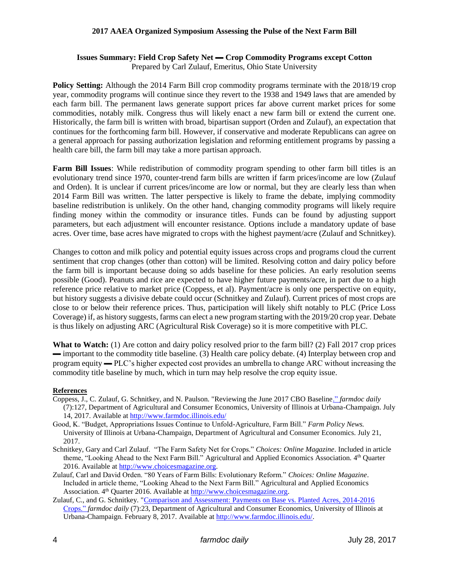## **Issues Summary: Field Crop Safety Net ▬ Crop Commodity Programs except Cotton**

Prepared by Carl Zulauf, Emeritus, Ohio State University

**Policy Setting:** Although the 2014 Farm Bill crop commodity programs terminate with the 2018/19 crop year, commodity programs will continue since they revert to the 1938 and 1949 laws that are amended by each farm bill. The permanent laws generate support prices far above current market prices for some commodities, notably milk. Congress thus will likely enact a new farm bill or extend the current one. Historically, the farm bill is written with broad, bipartisan support (Orden and Zulauf), an expectation that continues for the forthcoming farm bill. However, if conservative and moderate Republicans can agree on a general approach for passing authorization legislation and reforming entitlement programs by passing a health care bill, the farm bill may take a more partisan approach.

**Farm Bill Issues**: While redistribution of commodity program spending to other farm bill titles is an evolutionary trend since 1970, counter-trend farm bills are written if farm prices/income are low (Zulauf and Orden). It is unclear if current prices/income are low or normal, but they are clearly less than when 2014 Farm Bill was written. The latter perspective is likely to frame the debate, implying commodity baseline redistribution is unlikely. On the other hand, changing commodity programs will likely require finding money within the commodity or insurance titles. Funds can be found by adjusting support parameters, but each adjustment will encounter resistance. Options include a mandatory update of base acres. Over time, base acres have migrated to crops with the highest payment/acre (Zulauf and Schnitkey).

Changes to cotton and milk policy and potential equity issues across crops and programs cloud the current sentiment that crop changes (other than cotton) will be limited. Resolving cotton and dairy policy before the farm bill is important because doing so adds baseline for these policies. An early resolution seems possible (Good). Peanuts and rice are expected to have higher future payments/acre, in part due to a high reference price relative to market price (Coppess, et al). Payment/acre is only one perspective on equity, but history suggests a divisive debate could occur (Schnitkey and Zulauf). Current prices of most crops are close to or below their reference prices. Thus, participation will likely shift notably to PLC (Price Loss Coverage) if, as history suggests, farms can elect a new program starting with the 2019/20 crop year. Debate is thus likely on adjusting ARC (Agricultural Risk Coverage) so it is more competitive with PLC.

**What to Watch:** (1) Are cotton and dairy policy resolved prior to the farm bill? (2) Fall 2017 crop prices ▬ important to the commodity title baseline. (3) Health care policy debate. (4) Interplay between crop and program equity ▬ PLC's higher expected cost provides an umbrella to change ARC without increasing the commodity title baseline by much, which in turn may help resolve the crop equity issue.

## **References**

- Coppess, J., C. Zulauf, G. Schnitkey, and N. Paulson. "Reviewing the June 2017 CBO Baselin[e."](http://farmdocdaily.illinois.edu/2017/05/farm-safety-net-support-for-cotton-in-perspective.html) *farmdoc daily*  (7):127, Department of Agricultural and Consumer Economics, University of Illinois at Urbana-Champaign. July 14, 2017. Available at<http://www.farmdoc.illinois.edu/>
- Good, K. "Budget, Appropriations Issues Continue to Unfold-Agriculture, Farm Bill." *Farm Policy News.* University of Illinois at Urbana-Champaign, Department of Agricultural and Consumer Economics. July 21, 2017.
- Schnitkey, Gary and Carl Zulauf. "The Farm Safety Net for Crops." *Choices: Online Magazine*. Included in article theme, "Looking Ahead to the Next Farm Bill." Agricultural and Applied Economics Association. 4<sup>th</sup> Quarter 2016. Available at [http://www.choicesmagazine.org.](http://www.choicesmagazine.org/)
- Zulauf, Carl and David Orden. "80 Years of Farm Bills: Evolutionary Reform." *Choices: Online Magazine*. Included in article theme, "Looking Ahead to the Next Farm Bill." Agricultural and Applied Economics Association. 4<sup>th</sup> Quarter 2016. Available at [http://www.choicesmagazine.org.](http://www.choicesmagazine.org/)
- Zulauf, C., and G. Schnitkey. ["Comparison and Assessment: Payments on Base vs. Planted Acres, 2014-2016](http://farmdocdaily.illinois.edu/2016/01/cottonseed-and-us-oilseed-farm-program-issues.html)  [Crops."](http://farmdocdaily.illinois.edu/2016/01/cottonseed-and-us-oilseed-farm-program-issues.html) *farmdoc daily* (7):23, Department of Agricultural and Consumer Economics, University of Illinois at Urbana-Champaign. February 8, 2017. Available at [http://www.farmdoc.illinois.edu/.](http://www.farmdoc.illinois.edu/)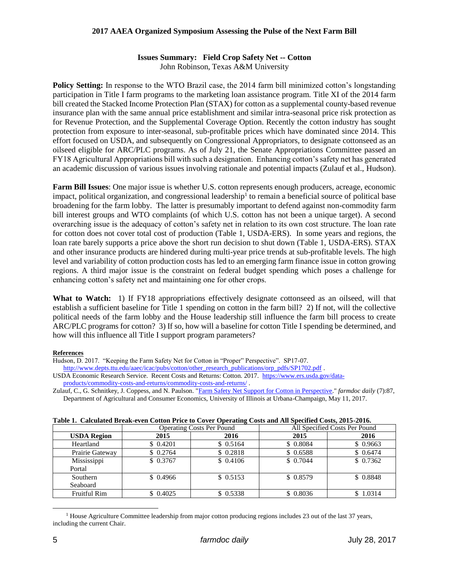# **Issues Summary: Field Crop Safety Net -- Cotton**

John Robinson, Texas A&M University

**Policy Setting:** In response to the WTO Brazil case, the 2014 farm bill minimized cotton's longstanding participation in Title I farm programs to the marketing loan assistance program. Title XI of the 2014 farm bill created the Stacked Income Protection Plan (STAX) for cotton as a supplemental county-based revenue insurance plan with the same annual price establishment and similar intra-seasonal price risk protection as for Revenue Protection, and the Supplemental Coverage Option. Recently the cotton industry has sought protection from exposure to inter-seasonal, sub-profitable prices which have dominated since 2014. This effort focused on USDA, and subsequently on Congressional Appropriators, to designate cottonseed as an oilseed eligible for ARC/PLC programs. As of July 21, the Senate Appropriations Committee passed an FY18 Agricultural Appropriations bill with such a designation. Enhancing cotton's safety net has generated an academic discussion of various issues involving rationale and potential impacts (Zulauf et al., Hudson).

**Farm Bill Issues**: One major issue is whether U.S. cotton represents enough producers, acreage, economic impact, political organization, and congressional leadership<sup>1</sup> to remain a beneficial source of political base broadening for the farm lobby. The latter is presumably important to defend against non-commodity farm bill interest groups and WTO complaints (of which U.S. cotton has not been a unique target). A second overarching issue is the adequacy of cotton's safety net in relation to its own cost structure. The loan rate for cotton does not cover total cost of production (Table 1, USDA-ERS). In some years and regions, the loan rate barely supports a price above the short run decision to shut down (Table 1, USDA-ERS). STAX and other insurance products are hindered during multi-year price trends at sub-profitable levels. The high level and variability of cotton production costs has led to an emerging farm finance issue in cotton growing regions. A third major issue is the constraint on federal budget spending which poses a challenge for enhancing cotton's safety net and maintaining one for other crops.

**What to Watch:** 1) If FY18 appropriations effectively designate cottonseed as an oilseed, will that establish a sufficient baseline for Title 1 spending on cotton in the farm bill? 2) If not, will the collective political needs of the farm lobby and the House leadership still influence the farm bill process to create ARC/PLC programs for cotton? 3) If so, how will a baseline for cotton Title I spending be determined, and how will this influence all Title I support program parameters?

#### **References**

Hudson, D. 2017. "Keeping the Farm Safety Net for Cotton in "Proper" Perspective". SP17-07.

[http://www.depts.ttu.edu/aaec/icac/pubs/cotton/other\\_research\\_publications/orp\\_pdfs/SP1702.pdf](http://www.depts.ttu.edu/aaec/icac/pubs/cotton/other_research_publications/orp_pdfs/SP1702.pdf) . USDA Economic Research Service. Recent Costs and Returns: Cotton. 2017. [https://www.ers.usda.gov/data-](https://www.ers.usda.gov/data-products/commodity-costs-and-returns/commodity-costs-and-returns/)

[products/commodity-costs-and-returns/commodity-costs-and-returns/](https://www.ers.usda.gov/data-products/commodity-costs-and-returns/commodity-costs-and-returns/) .

Zulauf, C., G. Schnitkey, J. Coppess, and N. Paulson. ["Farm Safety Net Support for Cotton in Perspective."](http://farmdocdaily.illinois.edu/2017/05/farm-safety-net-support-for-cotton-in-perspective.html) *farmdoc daily* (7):87, Department of Agricultural and Consumer Economics, University of Illinois at Urbana-Champaign, May 11, 2017.

| Table 1. Calculated Di ear-evell Cotton Frice to Cover Operating Costs and All Specified Costs, 2015-2010. |                                  |          |                               |           |  |  |  |  |  |
|------------------------------------------------------------------------------------------------------------|----------------------------------|----------|-------------------------------|-----------|--|--|--|--|--|
|                                                                                                            | <b>Operating Costs Per Pound</b> |          | All Specified Costs Per Pound |           |  |  |  |  |  |
| <b>USDA Region</b>                                                                                         | 2015                             | 2016     | 2015                          | 2016      |  |  |  |  |  |
| Heartland                                                                                                  | \$ 0.4201                        | \$0.5164 | \$0.8084                      | \$0.9663  |  |  |  |  |  |
| Prairie Gateway                                                                                            | \$0.2764                         | \$0.2818 | \$0.6588                      | \$0.6474  |  |  |  |  |  |
| Mississippi                                                                                                | \$ 0.3767                        | \$0.4106 | \$ 0.7044                     | \$0.7362  |  |  |  |  |  |
| Portal                                                                                                     |                                  |          |                               |           |  |  |  |  |  |
| Southern                                                                                                   | \$0.4966                         | \$0.5153 | \$ 0.8579                     | \$ 0.8848 |  |  |  |  |  |
| Seaboard                                                                                                   |                                  |          |                               |           |  |  |  |  |  |
| <b>Fruitful Rim</b>                                                                                        | \$0.4025                         | \$0.5338 | \$0.8036                      | \$1.0314  |  |  |  |  |  |

|  | Table 1. Calculated Break-even Cotton Price to Cover Operating Costs and All Specified Costs, 2015-2016. |  |  |  |  |  |
|--|----------------------------------------------------------------------------------------------------------|--|--|--|--|--|
|  |                                                                                                          |  |  |  |  |  |

l

<sup>&</sup>lt;sup>1</sup> House Agriculture Committee leadership from major cotton producing regions includes 23 out of the last 37 years, including the current Chair.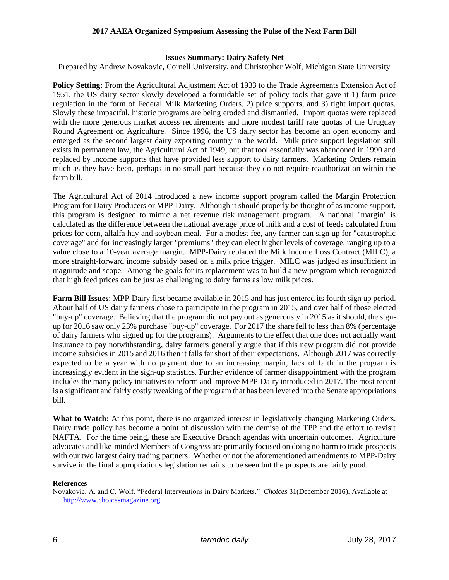#### **Issues Summary: Dairy Safety Net**

Prepared by Andrew Novakovic, Cornell University, and Christopher Wolf, Michigan State University

**Policy Setting:** From the Agricultural Adjustment Act of 1933 to the Trade Agreements Extension Act of 1951, the US dairy sector slowly developed a formidable set of policy tools that gave it 1) farm price regulation in the form of Federal Milk Marketing Orders, 2) price supports, and 3) tight import quotas. Slowly these impactful, historic programs are being eroded and dismantled. Import quotas were replaced with the more generous market access requirements and more modest tariff rate quotas of the Uruguay Round Agreement on Agriculture. Since 1996, the US dairy sector has become an open economy and emerged as the second largest dairy exporting country in the world. Milk price support legislation still exists in permanent law, the Agricultural Act of 1949, but that tool essentially was abandoned in 1990 and replaced by income supports that have provided less support to dairy farmers. Marketing Orders remain much as they have been, perhaps in no small part because they do not require reauthorization within the farm bill.

The Agricultural Act of 2014 introduced a new income support program called the Margin Protection Program for Dairy Producers or MPP-Dairy. Although it should properly be thought of as income support, this program is designed to mimic a net revenue risk management program. A national "margin" is calculated as the difference between the national average price of milk and a cost of feeds calculated from prices for corn, alfalfa hay and soybean meal. For a modest fee, any farmer can sign up for "catastrophic coverage" and for increasingly larger "premiums" they can elect higher levels of coverage, ranging up to a value close to a 10-year average margin. MPP-Dairy replaced the Milk Income Loss Contract (MILC), a more straight-forward income subsidy based on a milk price trigger. MILC was judged as insufficient in magnitude and scope. Among the goals for its replacement was to build a new program which recognized that high feed prices can be just as challenging to dairy farms as low milk prices.

**Farm Bill Issues**: MPP-Dairy first became available in 2015 and has just entered its fourth sign up period. About half of US dairy farmers chose to participate in the program in 2015, and over half of those elected "buy-up" coverage. Believing that the program did not pay out as generously in 2015 as it should, the signup for 2016 saw only 23% purchase "buy-up" coverage. For 2017 the share fell to less than 8% (percentage of dairy farmers who signed up for the programs). Arguments to the effect that one does not actually want insurance to pay notwithstanding, dairy farmers generally argue that if this new program did not provide income subsidies in 2015 and 2016 then it falls far short of their expectations. Although 2017 was correctly expected to be a year with no payment due to an increasing margin, lack of faith in the program is increasingly evident in the sign-up statistics. Further evidence of farmer disappointment with the program includes the many policy initiatives to reform and improve MPP-Dairy introduced in 2017. The most recent is a significant and fairly costly tweaking of the program that has been levered into the Senate appropriations bill.

What to Watch: At this point, there is no organized interest in legislatively changing Marketing Orders. Dairy trade policy has become a point of discussion with the demise of the TPP and the effort to revisit NAFTA. For the time being, these are Executive Branch agendas with uncertain outcomes. Agriculture advocates and like-minded Members of Congress are primarily focused on doing no harm to trade prospects with our two largest dairy trading partners. Whether or not the aforementioned amendments to MPP-Dairy survive in the final appropriations legislation remains to be seen but the prospects are fairly good.

#### **References**

Novakovic, A. and C. Wolf. "Federal Interventions in Dairy Markets." *Choices* 31(December 2016). Available at [http://www.choicesmagazine.org.](http://www.choicesmagazine.org/)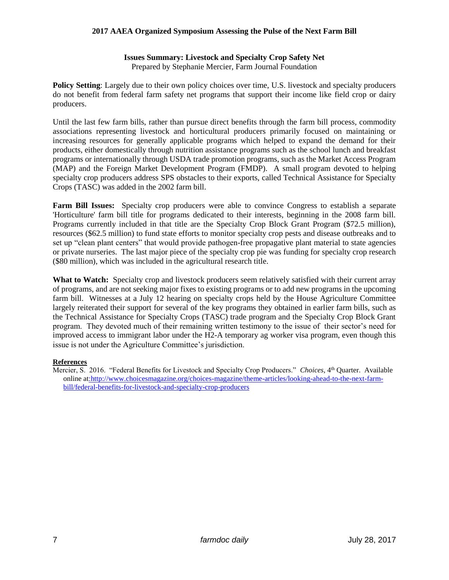#### **Issues Summary: Livestock and Specialty Crop Safety Net** Prepared by Stephanie Mercier, Farm Journal Foundation

**Policy Setting**: Largely due to their own policy choices over time, U.S. livestock and specialty producers do not benefit from federal farm safety net programs that support their income like field crop or dairy producers.

Until the last few farm bills, rather than pursue direct benefits through the farm bill process, commodity associations representing livestock and horticultural producers primarily focused on maintaining or increasing resources for generally applicable programs which helped to expand the demand for their products, either domestically through nutrition assistance programs such as the school lunch and breakfast programs or internationally through USDA trade promotion programs, such as the Market Access Program (MAP) and the Foreign Market Development Program (FMDP). A small program devoted to helping specialty crop producers address SPS obstacles to their exports, called Technical Assistance for Specialty Crops (TASC) was added in the 2002 farm bill.

**Farm Bill Issues:** Specialty crop producers were able to convince Congress to establish a separate 'Horticulture' farm bill title for programs dedicated to their interests, beginning in the 2008 farm bill. Programs currently included in that title are the Specialty Crop Block Grant Program (\$72.5 million), resources (\$62.5 million) to fund state efforts to monitor specialty crop pests and disease outbreaks and to set up "clean plant centers" that would provide pathogen-free propagative plant material to state agencies or private nurseries. The last major piece of the specialty crop pie was funding for specialty crop research (\$80 million), which was included in the agricultural research title.

**What to Watch:** Specialty crop and livestock producers seem relatively satisfied with their current array of programs, and are not seeking major fixes to existing programs or to add new programs in the upcoming farm bill. Witnesses at a July 12 hearing on specialty crops held by the House Agriculture Committee largely reiterated their support for several of the key programs they obtained in earlier farm bills, such as the Technical Assistance for Specialty Crops (TASC) trade program and the Specialty Crop Block Grant program. They devoted much of their remaining written testimony to the issue of their sector's need for improved access to immigrant labor under the H2-A temporary ag worker visa program, even though this issue is not under the Agriculture Committee's jurisdiction.

## **References**

Mercier, S. 2016. "Federal Benefits for Livestock and Specialty Crop Producers." *Choices*, 4th Quarter. Available online a[t:http://www.choicesmagazine.org/choices-magazine/theme-articles/looking-ahead-to-the-next-farm](file:///C:/Users/Carl/Downloads/:%20%20http:/www.choicesmagazine.org/choices-magazine/theme-articles/looking-ahead-to-the-next-farm-bill/federal-benefits-for-livestock-and-specialty-crop-producers)[bill/federal-benefits-for-livestock-and-specialty-crop-producers](file:///C:/Users/Carl/Downloads/:%20%20http:/www.choicesmagazine.org/choices-magazine/theme-articles/looking-ahead-to-the-next-farm-bill/federal-benefits-for-livestock-and-specialty-crop-producers)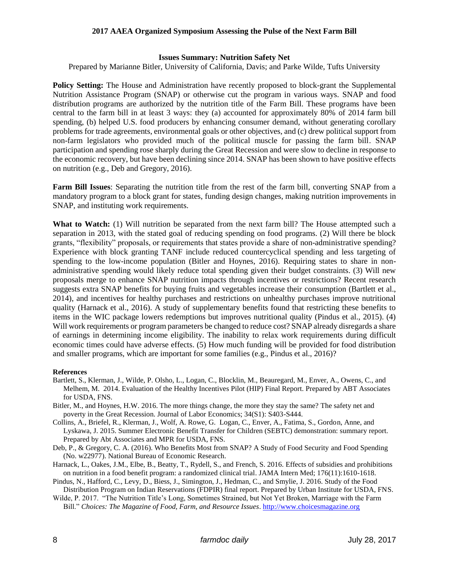#### **Issues Summary: Nutrition Safety Net**

Prepared by Marianne Bitler, University of California, Davis; and Parke Wilde, Tufts University

Policy Setting: The House and Administration have recently proposed to block-grant the Supplemental Nutrition Assistance Program (SNAP) or otherwise cut the program in various ways. SNAP and food distribution programs are authorized by the nutrition title of the Farm Bill. These programs have been central to the farm bill in at least 3 ways: they (a) accounted for approximately 80% of 2014 farm bill spending, (b) helped U.S. food producers by enhancing consumer demand, without generating corollary problems for trade agreements, environmental goals or other objectives, and (c) drew political support from non-farm legislators who provided much of the political muscle for passing the farm bill. SNAP participation and spending rose sharply during the Great Recession and were slow to decline in response to the economic recovery, but have been declining since 2014. SNAP has been shown to have positive effects on nutrition (e.g., Deb and Gregory, 2016).

**Farm Bill Issues**: Separating the nutrition title from the rest of the farm bill, converting SNAP from a mandatory program to a block grant for states, funding design changes, making nutrition improvements in SNAP, and instituting work requirements.

**What to Watch:** (1) Will nutrition be separated from the next farm bill? The House attempted such a separation in 2013, with the stated goal of reducing spending on food programs. (2) Will there be block grants, "flexibility" proposals, or requirements that states provide a share of non-administrative spending? Experience with block granting TANF include reduced countercyclical spending and less targeting of spending to the low-income population (Bitler and Hoynes, 2016). Requiring states to share in nonadministrative spending would likely reduce total spending given their budget constraints. (3) Will new proposals merge to enhance SNAP nutrition impacts through incentives or restrictions? Recent research suggests extra SNAP benefits for buying fruits and vegetables increase their consumption (Bartlett et al., 2014), and incentives for healthy purchases and restrictions on unhealthy purchases improve nutritional quality (Harnack et al., 2016). A study of supplementary benefits found that restricting these benefits to items in the WIC package lowers redemptions but improves nutritional quality (Pindus et al., 2015). (4) Will work requirements or program parameters be changed to reduce cost? SNAP already disregards a share of earnings in determining income eligibility. The inability to relax work requirements during difficult economic times could have adverse effects. (5) How much funding will be provided for food distribution and smaller programs, which are important for some families (e.g., Pindus et al., 2016)?

#### **References**

- Bartlett, S., Klerman, J., Wilde, P. Olsho, L., Logan, C., Blocklin, M., Beauregard, M., Enver, A., Owens, C., and Melhem, M. 2014. Evaluation of the Healthy Incentives Pilot (HIP) Final Report. Prepared by ABT Associates for USDA, FNS.
- Bitler, M., and Hoynes, H.W. 2016. The more things change, the more they stay the same? The safety net and poverty in the Great Recession. Journal of Labor Economics; 34(S1): S403-S444.
- Collins, A., Briefel, R., Klerman, J., Wolf, A. Rowe, G. Logan, C., Enver, A., Fatima, S., Gordon, Anne, and Lyskawa, J. 2015. Summer Electronic Benefit Transfer for Children (SEBTC) demonstration: summary report. Prepared by Abt Associates and MPR for USDA, FNS.
- Deb, P., & Gregory, C. A. (2016). Who Benefits Most from SNAP? A Study of Food Security and Food Spending (No. w22977). National Bureau of Economic Research.
- Harnack, L., Oakes, J.M., Elbe, B., Beatty, T., Rydell, S., and French, S. 2016. Effects of subsidies and prohibitions on nutrition in a food benefit program: a randomized clinical trial. JAMA Intern Med; 176(11):1610-1618.
- Pindus, N., Hafford, C., Levy, D., Biess, J., Simington, J., Hedman, C., and Smylie, J. 2016. Study of the Food Distribution Program on Indian Reservations (FDPIR) final report. Prepared by Urban Institute for USDA, FNS.
- Wilde, P. 2017. "The Nutrition Title's Long, Sometimes Strained, but Not Yet Broken, Marriage with the Farm Bill." *Choices: The Magazine of Food, Farm, and Resource Issues*. [http://www.choicesmagazine.org](http://www.choicesmagazine.org/)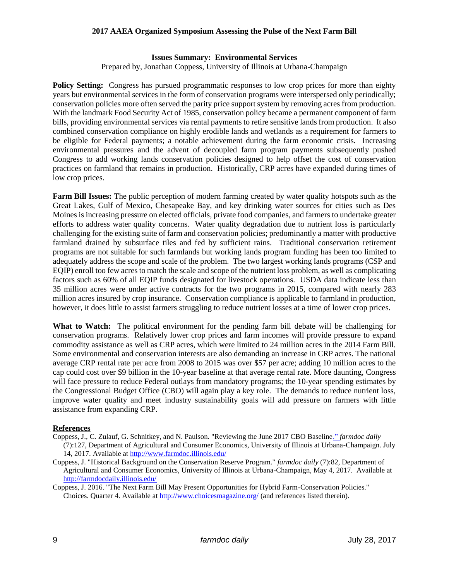#### **Issues Summary: Environmental Services**

Prepared by, Jonathan Coppess, University of Illinois at Urbana-Champaign

**Policy Setting:** Congress has pursued programmatic responses to low crop prices for more than eighty years but environmental services in the form of conservation programs were interspersed only periodically; conservation policies more often served the parity price support system by removing acres from production. With the landmark Food Security Act of 1985, conservation policy became a permanent component of farm bills, providing environmental services via rental payments to retire sensitive lands from production. It also combined conservation compliance on highly erodible lands and wetlands as a requirement for farmers to be eligible for Federal payments; a notable achievement during the farm economic crisis. Increasing environmental pressures and the advent of decoupled farm program payments subsequently pushed Congress to add working lands conservation policies designed to help offset the cost of conservation practices on farmland that remains in production. Historically, CRP acres have expanded during times of low crop prices.

**Farm Bill Issues:** The public perception of modern farming created by water quality hotspots such as the Great Lakes, Gulf of Mexico, Chesapeake Bay, and key drinking water sources for cities such as Des Moines is increasing pressure on elected officials, private food companies, and farmers to undertake greater efforts to address water quality concerns. Water quality degradation due to nutrient loss is particularly challenging for the existing suite of farm and conservation policies; predominantly a matter with productive farmland drained by subsurface tiles and fed by sufficient rains. Traditional conservation retirement programs are not suitable for such farmlands but working lands program funding has been too limited to adequately address the scope and scale of the problem. The two largest working lands programs (CSP and EQIP) enroll too few acres to match the scale and scope of the nutrient loss problem, as well as complicating factors such as 60% of all EQIP funds designated for livestock operations. USDA data indicate less than 35 million acres were under active contracts for the two programs in 2015, compared with nearly 283 million acres insured by crop insurance. Conservation compliance is applicable to farmland in production, however, it does little to assist farmers struggling to reduce nutrient losses at a time of lower crop prices.

What to Watch: The political environment for the pending farm bill debate will be challenging for conservation programs. Relatively lower crop prices and farm incomes will provide pressure to expand commodity assistance as well as CRP acres, which were limited to 24 million acres in the 2014 Farm Bill. Some environmental and conservation interests are also demanding an increase in CRP acres. The national average CRP rental rate per acre from 2008 to 2015 was over \$57 per acre; adding 10 million acres to the cap could cost over \$9 billion in the 10-year baseline at that average rental rate. More daunting, Congress will face pressure to reduce Federal outlays from mandatory programs; the 10-year spending estimates by the Congressional Budget Office (CBO) will again play a key role. The demands to reduce nutrient loss, improve water quality and meet industry sustainability goals will add pressure on farmers with little assistance from expanding CRP.

## **References**

- Coppess, J., C. Zulauf, G. Schnitkey, and N. Paulson. "Reviewing the June 2017 CBO Baselin[e."](http://farmdocdaily.illinois.edu/2017/05/farm-safety-net-support-for-cotton-in-perspective.html) *farmdoc daily*  (7):127, Department of Agricultural and Consumer Economics, University of Illinois at Urbana-Champaign. July 14, 2017. Available at<http://www.farmdoc.illinois.edu/>
- Coppess, J. "Historical Background on the Conservation Reserve Program." *farmdoc daily* (7):82, Department of Agricultural and Consumer Economics, University of Illinois at Urbana-Champaign, May 4, 2017. Available at <http://farmdocdaily.illinois.edu/>

Coppess, J. 2016. "The Next Farm Bill May Present Opportunities for Hybrid Farm-Conservation Policies." Choices. Quarter 4. Available at <http://www.choicesmagazine.org/> (and references listed therein).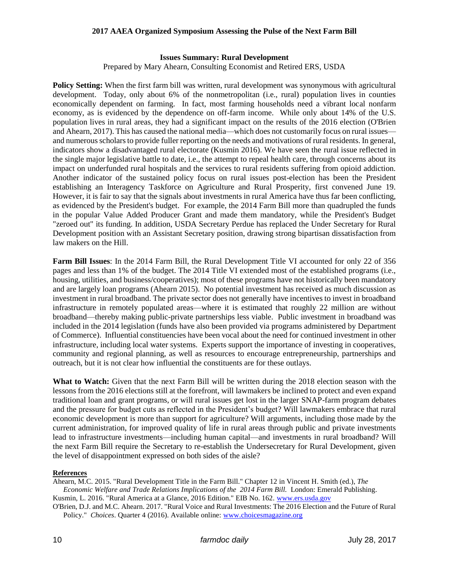#### **Issues Summary: Rural Development**

Prepared by Mary Ahearn, Consulting Economist and Retired ERS, USDA

**Policy Setting:** When the first farm bill was written, rural development was synonymous with agricultural development. Today, only about 6% of the nonmetropolitan (i.e., rural) population lives in counties economically dependent on farming. In fact, most farming households need a vibrant local nonfarm economy, as is evidenced by the dependence on off-farm income. While only about 14% of the U.S. population lives in rural areas, they had a significant impact on the results of the 2016 election (O'Brien and Ahearn, 2017). This has caused the national media—which does not customarily focus on rural issues and numerous scholars to provide fuller reporting on the needs and motivations of rural residents. In general, indicators show a disadvantaged rural electorate (Kusmin 2016). We have seen the rural issue reflected in the single major legislative battle to date, i.e., the attempt to repeal health care, through concerns about its impact on underfunded rural hospitals and the services to rural residents suffering from opioid addiction. Another indicator of the sustained policy focus on rural issues post-election has been the President establishing an Interagency Taskforce on Agriculture and Rural Prosperity, first convened June 19. However, it is fair to say that the signals about investments in rural America have thus far been conflicting, as evidenced by the President's budget. For example, the 2014 Farm Bill more than quadrupled the funds in the popular Value Added Producer Grant and made them mandatory, while the President's Budget "zeroed out" its funding. In addition, USDA Secretary Perdue has replaced the Under Secretary for Rural Development position with an Assistant Secretary position, drawing strong bipartisan dissatisfaction from law makers on the Hill.

**Farm Bill Issues**: In the 2014 Farm Bill, the Rural Development Title VI accounted for only 22 of 356 pages and less than 1% of the budget. The 2014 Title VI extended most of the established programs (i.e., housing, utilities, and business/cooperatives); most of these programs have not historically been mandatory and are largely loan programs (Ahearn 2015). No potential investment has received as much discussion as investment in rural broadband. The private sector does not generally have incentives to invest in broadband infrastructure in remotely populated areas—where it is estimated that roughly 22 million are without broadband—thereby making public-private partnerships less viable. Public investment in broadband was included in the 2014 legislation (funds have also been provided via programs administered by Department of Commerce). Influential constituencies have been vocal about the need for continued investment in other infrastructure, including local water systems. Experts support the importance of investing in cooperatives, community and regional planning, as well as resources to encourage entrepreneurship, partnerships and outreach, but it is not clear how influential the constituents are for these outlays.

**What to Watch:** Given that the next Farm Bill will be written during the 2018 election season with the lessons from the 2016 elections still at the forefront, will lawmakers be inclined to protect and even expand traditional loan and grant programs, or will rural issues get lost in the larger SNAP-farm program debates and the pressure for budget cuts as reflected in the President's budget? Will lawmakers embrace that rural economic development is more than support for agriculture? Will arguments, including those made by the current administration, for improved quality of life in rural areas through public and private investments lead to infrastructure investments—including human capital—and investments in rural broadband? Will the next Farm Bill require the Secretary to re-establish the Undersecretary for Rural Development, given the level of disappointment expressed on both sides of the aisle?

#### **References**

Ahearn, M.C. 2015. "Rural Development Title in the Farm Bill." Chapter 12 in Vincent H. Smith (ed.), *The Economic Welfare and Trade Relations Implications of the 2014 Farm Bill.* London: Emerald Publishing. Kusmin, L. 2016. "Rural America at a Glance, 2016 Edition." EIB No. 162. [www.ers.usda.gov](http://www.ers.usda.gov/)

O'Brien, D.J. and M.C. Ahearn. 2017. "Rural Voice and Rural Investments: The 2016 Election and the Future of Rural Policy." *Choices*. Quarter 4 (2016). Available online: [www.choicesmagazine.org](http://www.choicesmagazine.org/)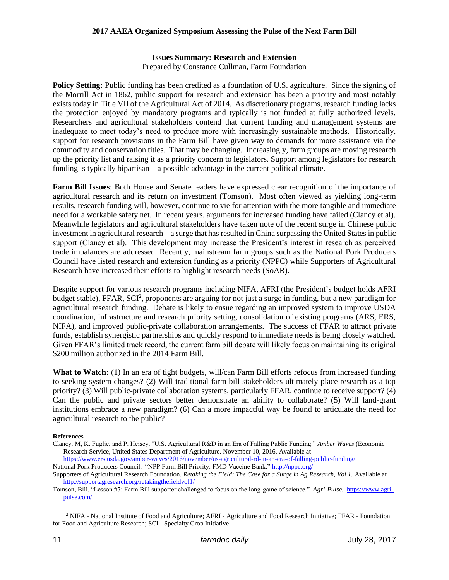## **Issues Summary: Research and Extension**

Prepared by Constance Cullman, Farm Foundation

**Policy Setting:** Public funding has been credited as a foundation of U.S. agriculture. Since the signing of the Morrill Act in 1862, public support for research and extension has been a priority and most notably exists today in Title VII of the Agricultural Act of 2014. As discretionary programs, research funding lacks the protection enjoyed by mandatory programs and typically is not funded at fully authorized levels. Researchers and agricultural stakeholders contend that current funding and management systems are inadequate to meet today's need to produce more with increasingly sustainable methods. Historically, support for research provisions in the Farm Bill have given way to demands for more assistance via the commodity and conservation titles. That may be changing. Increasingly, farm groups are moving research up the priority list and raising it as a priority concern to legislators. Support among legislators for research funding is typically bipartisan – a possible advantage in the current political climate.

**Farm Bill Issues**: Both House and Senate leaders have expressed clear recognition of the importance of agricultural research and its return on investment (Tomson). Most often viewed as yielding long-term results, research funding will, however, continue to vie for attention with the more tangible and immediate need for a workable safety net. In recent years, arguments for increased funding have failed (Clancy et al). Meanwhile legislators and agricultural stakeholders have taken note of the recent surge in Chinese public investment in agricultural research – a surge that has resulted in China surpassing the United States in public support (Clancy et al). This development may increase the President's interest in research as perceived trade imbalances are addressed. Recently, mainstream farm groups such as the National Pork Producers Council have listed research and extension funding as a priority (NPPC) while Supporters of Agricultural Research have increased their efforts to highlight research needs (SoAR).

Despite support for various research programs including NIFA, AFRI (the President's budget holds AFRI budget stable), FFAR, SCI<sup>2</sup>, proponents are arguing for not just a surge in funding, but a new paradigm for agricultural research funding. Debate is likely to ensue regarding an improved system to improve USDA coordination, infrastructure and research priority setting, consolidation of existing programs (ARS, ERS, NIFA), and improved public-private collaboration arrangements. The success of FFAR to attract private funds, establish synergistic partnerships and quickly respond to immediate needs is being closely watched. Given FFAR's limited track record, the current farm bill debate will likely focus on maintaining its original \$200 million authorized in the 2014 Farm Bill.

**What to Watch:** (1) In an era of tight budgets, will/can Farm Bill efforts refocus from increased funding to seeking system changes? (2) Will traditional farm bill stakeholders ultimately place research as a top priority? (3) Will public-private collaboration systems, particularly FFAR, continue to receive support? (4) Can the public and private sectors better demonstrate an ability to collaborate? (5) Will land-grant institutions embrace a new paradigm? (6) Can a more impactful way be found to articulate the need for agricultural research to the public?

## **References**

Clancy, M, K. Fuglie, and P. Heisey. "U.S. Agricultural R&D in an Era of Falling Public Funding." *Amber Waves* (Economic Research Service, United States Department of Agriculture. November 10, 2016. Available at

<https://www.ers.usda.gov/amber-waves/2016/november/us-agricultural-rd-in-an-era-of-falling-public-funding/> National Pork Producers Council. "NPP Farm Bill Priority: FMD Vaccine Bank."<http://nppc.org/>

Supporters of Agricultural Research Foundation. *Retaking the Field: The Case for a Surge in Ag Research, Vol 1.* Available at <http://supportagresearch.org/retakingthefieldvol1/>

Tomson, Bill. "Lesson #7: Farm Bill supporter challenged to focus on the long-game of science." *Agri-Pulse.* [https://www.agri](https://www.agri-pulse.com/)[pulse.com/](https://www.agri-pulse.com/)

l

<sup>2</sup> NIFA - National Institute of Food and Agriculture; AFRI - Agriculture and Food Research Initiative; FFAR - Foundation for Food and Agriculture Research; SCI - Specialty Crop Initiative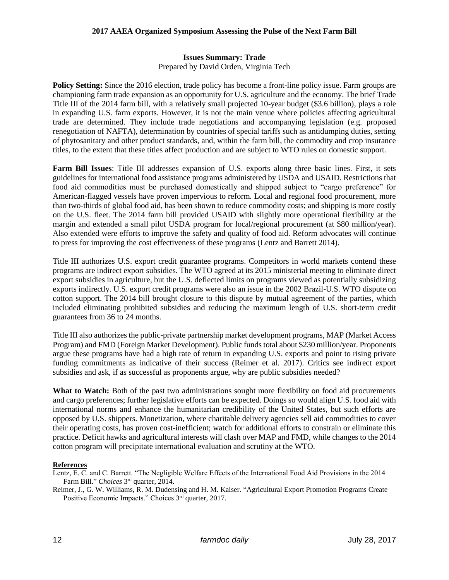## **Issues Summary: Trade**

Prepared by David Orden, Virginia Tech

**Policy Setting:** Since the 2016 election, trade policy has become a front-line policy issue. Farm groups are championing farm trade expansion as an opportunity for U.S. agriculture and the economy. The brief Trade Title III of the 2014 farm bill, with a relatively small projected 10-year budget (\$3.6 billion), plays a role in expanding U.S. farm exports. However, it is not the main venue where policies affecting agricultural trade are determined. They include trade negotiations and accompanying legislation (e.g. proposed renegotiation of NAFTA), determination by countries of special tariffs such as antidumping duties, setting of phytosanitary and other product standards, and, within the farm bill, the commodity and crop insurance titles, to the extent that these titles affect production and are subject to WTO rules on domestic support.

**Farm Bill Issues**: Title III addresses expansion of U.S. exports along three basic lines. First, it sets guidelines for international food assistance programs administered by USDA and USAID. Restrictions that food aid commodities must be purchased domestically and shipped subject to "cargo preference" for American-flagged vessels have proven impervious to reform. Local and regional food procurement, more than two-thirds of global food aid, has been shown to reduce commodity costs; and shipping is more costly on the U.S. fleet. The 2014 farm bill provided USAID with slightly more operational flexibility at the margin and extended a small pilot USDA program for local/regional procurement (at \$80 million/year). Also extended were efforts to improve the safety and quality of food aid. Reform advocates will continue to press for improving the cost effectiveness of these programs (Lentz and Barrett 2014).

Title III authorizes U.S. export credit guarantee programs. Competitors in world markets contend these programs are indirect export subsidies. The WTO agreed at its 2015 ministerial meeting to eliminate direct export subsidies in agriculture, but the U.S. deflected limits on programs viewed as potentially subsidizing exports indirectly. U.S. export credit programs were also an issue in the 2002 Brazil-U.S. WTO dispute on cotton support. The 2014 bill brought closure to this dispute by mutual agreement of the parties, which included eliminating prohibited subsidies and reducing the maximum length of U.S. short-term credit guarantees from 36 to 24 months.

Title III also authorizes the public-private partnership market development programs, MAP (Market Access Program) and FMD (Foreign Market Development). Public funds total about \$230 million/year. Proponents argue these programs have had a high rate of return in expanding U.S. exports and point to rising private funding commitments as indicative of their success (Reimer et al. 2017). Critics see indirect export subsidies and ask, if as successful as proponents argue, why are public subsidies needed?

**What to Watch:** Both of the past two administrations sought more flexibility on food aid procurements and cargo preferences; further legislative efforts can be expected. Doings so would align U.S. food aid with international norms and enhance the humanitarian credibility of the United States, but such efforts are opposed by U.S. shippers. Monetization, where charitable delivery agencies sell aid commodities to cover their operating costs, has proven cost-inefficient; watch for additional efforts to constrain or eliminate this practice. Deficit hawks and agricultural interests will clash over MAP and FMD, while changes to the 2014 cotton program will precipitate international evaluation and scrutiny at the WTO.

## **References**

Lentz, E. C. and C. Barrett. "The Negligible Welfare Effects of the International Food Aid Provisions in the 2014 Farm Bill." *Choices* 3 rd quarter, 2014.

Reimer, J., G. W. Williams, R. M. Dudensing and H. M. Kaiser. "Agricultural Export Promotion Programs Create Positive Economic Impacts." Choices 3rd quarter, 2017.